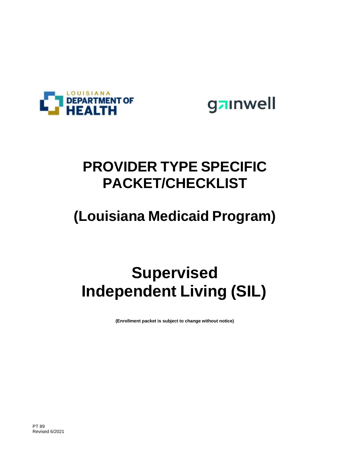

gainwell

### **PROVIDER TYPE SPECIFIC PACKET/CHECKLIST**

## **(Louisiana Medicaid Program)**

# **Supervised Independent Living (SIL)**

**(Enrollment packet is subject to change without notice)**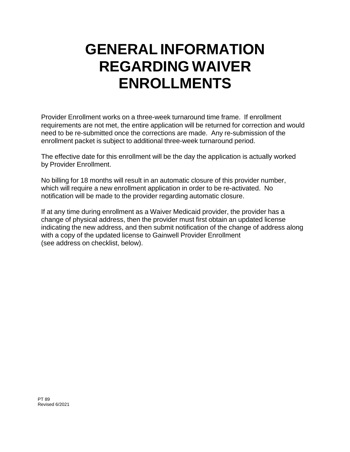## **GENERAL INFORMATION REGARDING WAIVER ENROLLMENTS**

Provider Enrollment works on a three-week turnaround time frame. If enrollment requirements are not met, the entire application will be returned for correction and would need to be re-submitted once the corrections are made. Any re-submission of the enrollment packet is subject to additional three-week turnaround period.

The effective date for this enrollment will be the day the application is actually worked by Provider Enrollment.

No billing for 18 months will result in an automatic closure of this provider number, which will require a new enrollment application in order to be re-activated. No notification will be made to the provider regarding automatic closure.

If at any time during enrollment as a Waiver Medicaid provider, the provider has a change of physical address, then the provider must first obtain an updated license indicating the new address, and then submit notification of the change of address along with a copy of the updated license to Gainwell Provider Enrollment (see address on checklist, below).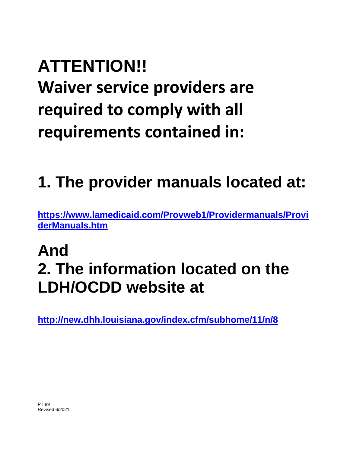# **ATTENTION!!**

**Waiver service providers are required to comply with all requirements contained in:**

# **1. The provider manuals located at:**

**[https://www.lamedicaid.com/Provweb1/Providermanuals/Provi](https://www.lamedicaid.com/Provweb1/Providermanuals/ProviderManuals.htm) [derManuals.htm](https://www.lamedicaid.com/Provweb1/Providermanuals/ProviderManuals.htm)**

# **And 2. The information located on the LDH/OCDD website at**

**<http://new.dhh.louisiana.gov/index.cfm/subhome/11/n/8>**